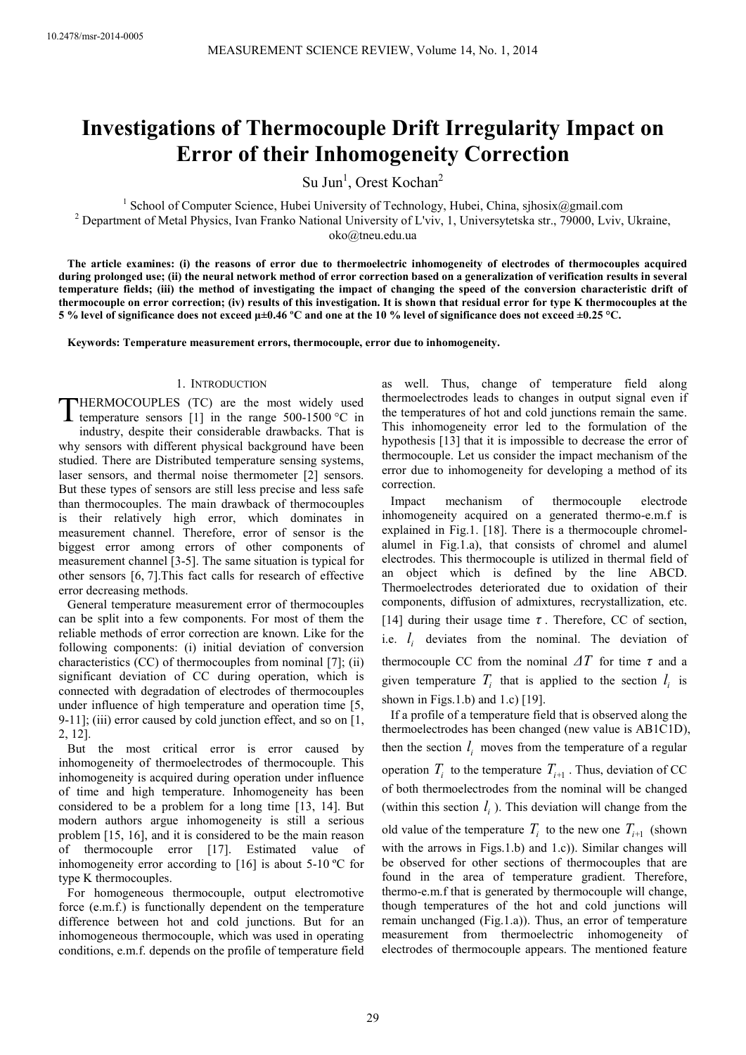# **Investigations of Thermocouple Drift Irregularity Impact on Error of their Inhomogeneity Correction**

Su Jun<sup>1</sup>, Orest Kochan<sup>2</sup>

<sup>1</sup> School of Computer Science, Hubei University of Technology, Hubei, China, sjhosix@gmail.com <sup>2</sup> Department of Metal Physics, Ivan Franko National University of L'viv, 1, Universytetska str., 79000, Lviv, Ukraine, oko@tneu.edu.ua

**The article examines: (i) the reasons of error due to thermoelectric inhomogeneity of electrodes of thermocouples acquired during prolonged use; (ii) the neural network method of error correction based on a generalization of verification results in several temperature fields; (iii) the method of investigating the impact of changing the speed of the conversion characteristic drift of thermocouple on error correction; (iv) results of this investigation. It is shown that residual error for type K thermocouples at the 5 % level of significance does not exceed µ±0.46 ºС and one at the 10 % level of significance does not exceed ±0.25 °С.** 

**Keywords: Temperature measurement errors, thermocouple, error due to inhomogeneity.** 

# 1. INTRODUCTION

HERMOCOUPLES (TC) are the most widely used temperature sensors [1] in the range  $500-1500$  °C in industry, despite their considerable drawbacks. That is why sensors with different physical background have been studied. There are Distributed temperature sensing systems, laser sensors, and thermal noise thermometer [2] sensors. But these types of sensors are still less precise and less safe than thermocouples. The main drawback of thermocouples is their relatively high error, which dominates in measurement channel. Therefore, error of sensor is the biggest error among errors of other components of measurement channel [3-5]. The same situation is typical for other sensors [6, 7].This fact calls for research of effective error decreasing methods. T

General temperature measurement error of thermocouples can be split into a few components. For most of them the reliable methods of error correction are known. Like for the following components: (i) initial deviation of conversion characteristics (CC) of thermocouples from nominal [7]; (ii) significant deviation of CC during operation, which is connected with degradation of electrodes of thermocouples under influence of high temperature and operation time [5, 9-11]; (iii) error caused by cold junction effect, and so on [1, 2, 12].

But the most critical error is error caused by inhomogeneity of thermoelectrodes of thermocouple. This inhomogeneity is acquired during operation under influence of time and high temperature. Inhomogeneity has been considered to be a problem for a long time [13, 14]. But modern authors argue inhomogeneity is still a serious problem [15, 16], and it is considered to be the main reason of thermocouple error [17]. Estimated value of inhomogeneity error according to [16] is about 5-10 ºC for type K thermocouples.

For homogeneous thermocouple, output electromotive force (e.m.f.) is functionally dependent on the temperature difference between hot and cold junctions. But for an inhomogeneous thermocouple, which was used in operating conditions, e.m.f. depends on the profile of temperature field as well. Thus, change of temperature field along thermoelectrodes leads to changes in output signal even if the temperatures of hot and cold junctions remain the same. This inhomogeneity error led to the formulation of the hypothesis [13] that it is impossible to decrease the error of thermocouple. Let us consider the impact mechanism of the error due to inhomogeneity for developing a method of its correction.

Impact mechanism of thermocouple electrode inhomogeneity acquired on a generated thermo-e.m.f is explained in Fig.1. [18]. There is a thermocouple chromelalumel in Fig.1.a), that consists of chromel and alumel electrodes. This thermocouple is utilized in thermal field of an object which is defined by the line ABCD. Thermoelectrodes deteriorated due to oxidation of their components, diffusion of admixtures, recrystallization, etc. [14] during their usage time *τ* . Therefore, СС of section, i.e.  $l_i$  deviates from the nominal. The deviation of thermocouple CC from the nominal  $\Delta T$  for time  $\tau$  and a given temperature  $T_i$  that is applied to the section  $l_i$  is shown in Figs.1.b) and 1.c)  $[19]$ .

If a profile of a temperature field that is observed along the thermoelectrodes has been changed (new value is AB1C1D), then the section  $l_i$  moves from the temperature of a regular operation  $T_i$  to the temperature  $T_{i+1}$ . Thus, deviation of CC of both thermoelectrodes from the nominal will be changed (within this section  $l_i$ ). This deviation will change from the old value of the temperature  $T_i$  to the new one  $T_{i+1}$  (shown with the arrows in Figs.1.b) and 1.c)). Similar changes will be observed for other sections of thermocouples that are found in the area of temperature gradient. Therefore, thermo-e.m.f that is generated by thermocouple will change, though temperatures of the hot and cold junctions will remain unchanged (Fig.1.a)). Thus, an error of temperature measurement from thermoelectric inhomogeneity of electrodes of thermocouple appears. The mentioned feature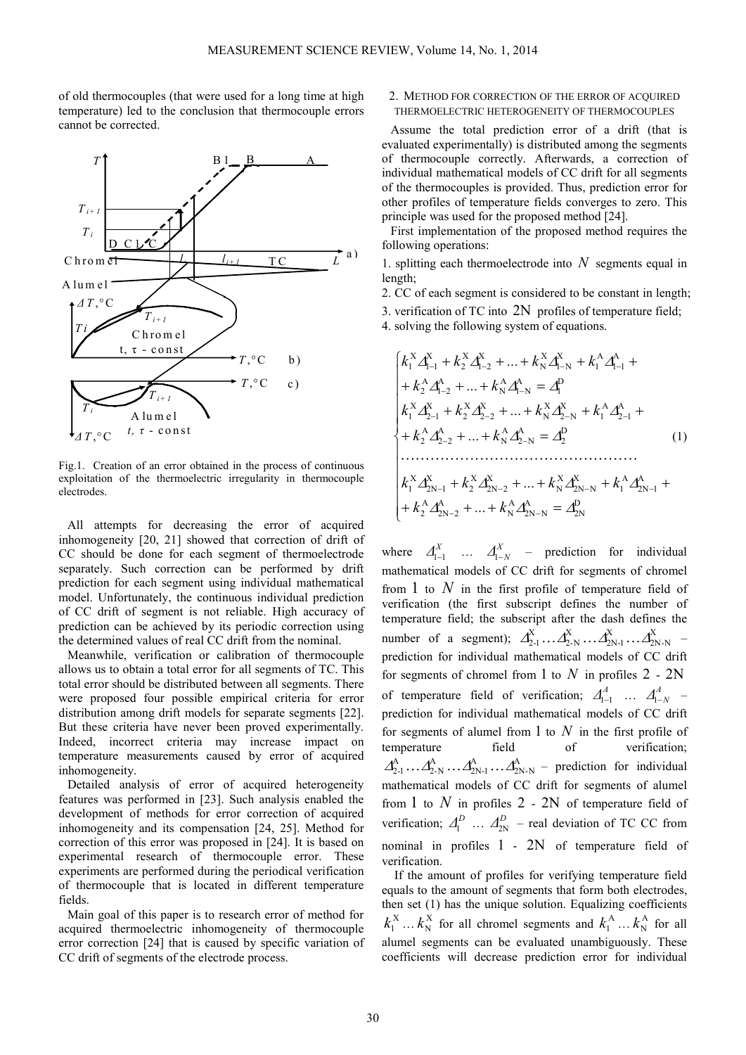of old thermocouples (that were used for a long time at high temperature) led to the conclusion that thermocouple errors cannot be corrected.



Fig.1. Creation of an error obtained in the process of continuous exploitation of the thermoelectric irregularity in thermocouple electrodes.

All attempts for decreasing the error of acquired inhomogeneity [20, 21] showed that correction of drift of CC should be done for each segment of thermoelectrode separately. Such correction can be performed by drift prediction for each segment using individual mathematical model. Unfortunately, the continuous individual prediction of CC drift of segment is not reliable. High accuracy of prediction can be achieved by its periodic correction using the determined values of real CC drift from the nominal.

Meanwhile, verification or calibration of thermocouple allows us to obtain a total error for all segments of TC. This total error should be distributed between all segments. There were proposed four possible empirical criteria for error distribution among drift models for separate segments [22]. But these criteria have never been proved experimentally. Indeed, incorrect criteria may increase impact on temperature measurements caused by error of acquired inhomogeneity.

Detailed analysis of error of acquired heterogeneity features was performed in [23]. Such analysis enabled the development of methods for error correction of acquired inhomogeneity and its compensation [24, 25]. Method for correction of this error was proposed in [24]. It is based on experimental research of thermocouple error. These experiments are performed during the periodical verification of thermocouple that is located in different temperature fields.

Main goal of this paper is to research error of method for acquired thermoelectric inhomogeneity of thermocouple error correction [24] that is caused by specific variation of CC drift of segments of the electrode process.

# 2. METHOD FOR CORRECTION OF THE ERROR OF ACQUIRED THERMOELECTRIC HETEROGENEITY OF THERMOCOUPLES

Assume the total prediction error of a drift (that is evaluated experimentally) is distributed among the segments of thermocouple correctly. Afterwards, a correction of individual mathematical models of CC drift for all segments of the thermocouples is provided. Thus, prediction error for other profiles of temperature fields converges to zero. This principle was used for the proposed method [24].

First implementation of the proposed method requires the following operations:

1. splitting each thermoelectrode into *N* segments equal in length;

2. CC of each segment is considered to be constant in length;

3. verification of TC into 2N profiles of temperature field;

4. solving the following system of equations.

$$
\begin{cases}\nk_1^X \Delta_{l-1}^X + k_2^X \Delta_{l-2}^X + \dots + k_N^X \Delta_{l-N}^X + k_1^A \Delta_{l-1}^A + \\
+ k_2^A \Delta_{l-2}^A + \dots + k_N^A \Delta_{l-N}^A = \Delta_l^D \\
k_1^X \Delta_{2-1}^X + k_2^X \Delta_{2-2}^X + \dots + k_N^X \Delta_{2-N}^X + k_1^A \Delta_{2-1}^A + \\
+ k_2^A \Delta_{2-2}^A + \dots + k_N^A \Delta_{2-N}^A = \Delta_l^D \\
\vdots \\
k_1^X \Delta_{2N-1}^X + k_2^X \Delta_{2N-2}^X + \dots + k_N^X \Delta_{2N-N}^X + k_1^A \Delta_{2N-1}^A + \\
+ k_2^A \Delta_{2N-2}^A + \dots + k_N^A \Delta_{2N-N}^A = \Delta_{2N}^D\n\end{cases} (1)
$$

where  $\Delta_{1-1}^X$  ...  $\Delta_{1-N}^X$  – prediction for individual mathematical models of CC drift for segments of chromel from 1 to *N* in the first profile of temperature field of verification (the first subscript defines the number of temperature field; the subscript after the dash defines the number of a segment);  $\Delta_{2-1}^X \dots \Delta_{2-N}^X \dots \Delta_{2N-1}^X \dots \Delta_{2N-N}^X$ X  $2N-1$ X  $\Delta^X_{2\text{-}1} \dots \Delta^X_{2\text{-}N} \dots \Delta^X_{2\text{N-}1} \dots \Delta^X_{2\text{N-N}}$  prediction for individual mathematical models of CC drift for segments of chromel from 1 to *N* in profiles 2 - 2N of temperature field of verification;  $\Delta_{l-1}^A$  ...  $\Delta_{l-N}^A$  – prediction for individual mathematical models of CC drift for segments of alumel from 1 to *N* in the first profile of temperature field of verification; A 2N-N A  $2N-1$ A  $\Delta_{2\text{-}1}^{\text{A}} \dots \Delta_{2\text{-}N}^{\text{-}1} \dots \Delta_{2\text{N-}N}^{\text{A}}$  – prediction for individual mathematical models of CC drift for segments of alumel from 1 to  $N$  in profiles  $2 - 2N$  of temperature field of verification;  $\Delta_1^D$  ...  $\Delta_{2N}^D$  – real deviation of TC CC from nominal in profiles 1 - 2N of temperature field of verification.

If the amount of profiles for verifying temperature field equals to the amount of segments that form both electrodes, then set (1) has the unique solution. Equalizing coefficients X  $k_1^{\mathrm{X}}\dots k_{\mathrm{N}}^{\mathrm{X}}$  $k_{\text{N}}^{\text{X}}$  for all chromel segments and  $k_1^{\text{A}} \dots k_{\text{N}}^{\text{A}}$  $k_{\text{N}}^{\text{A}}$  for all alumel segments can be evaluated unambiguously. These coefficients will decrease prediction error for individual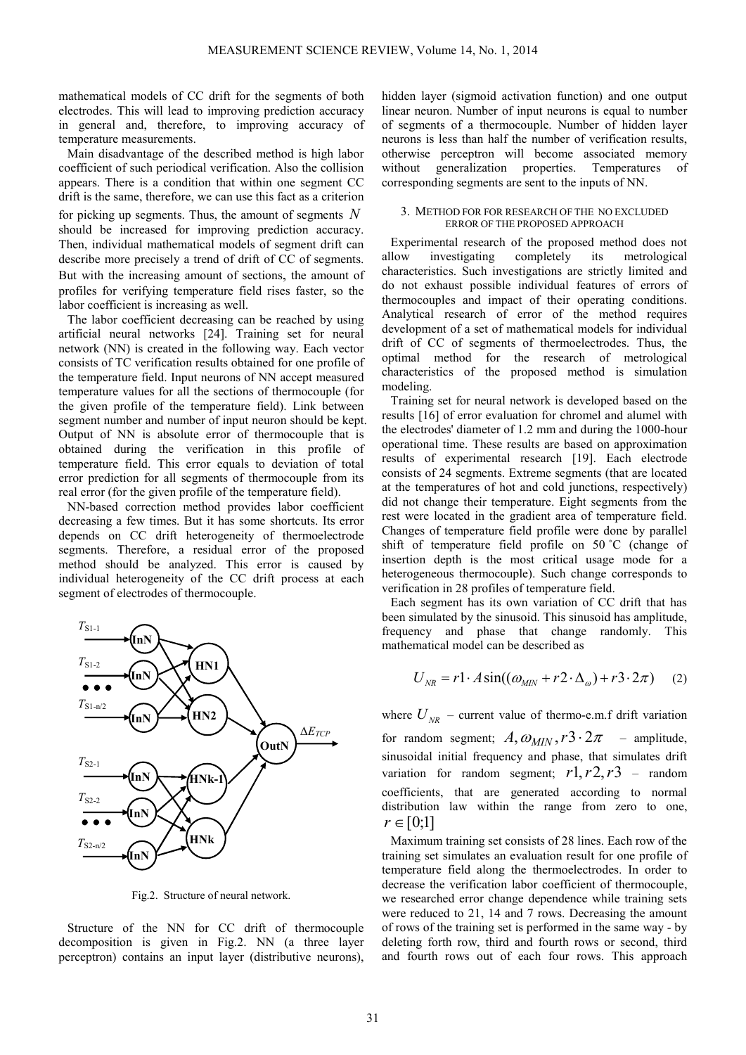mathematical models of СС drift for the segments of both electrodes. This will lead to improving prediction accuracy in general and, therefore, to improving accuracy of temperature measurements.

Main disadvantage of the described method is high labor coefficient of such periodical verification. Also the collision appears. There is a condition that within one segment СС drift is the same, therefore, we can use this fact as a criterion for picking up segments. Thus, the amount of segments *N* should be increased for improving prediction accuracy. Then, individual mathematical models of segment drift can describe more precisely a trend of drift of CC of segments. But with the increasing amount of sections, the amount of profiles for verifying temperature field rises faster, so the labor coefficient is increasing as well.

The labor coefficient decreasing can be reached by using artificial neural networks [24]. Training set for neural network (NN) is created in the following way. Each vector consists of TC verification results obtained for one profile of the temperature field. Input neurons of NN accept measured temperature values for all the sections of thermocouple (for the given profile of the temperature field). Link between segment number and number of input neuron should be kept. Output of NN is absolute error of thermocouple that is obtained during the verification in this profile of temperature field. This error equals to deviation of total error prediction for all segments of thermocouple from its real error (for the given profile of the temperature field).

NN-based correction method provides labor coefficient decreasing a few times. But it has some shortcuts. Its error depends on CC drift heterogeneity of thermoelectrode segments. Therefore, a residual error of the proposed method should be analyzed. This error is caused by individual heterogeneity of the CC drift process at each segment of electrodes of thermocouple.



Fig.2. Structure of neural network.

Structure of the NN for CC drift of thermocouple decomposition is given in Fig.2. NN (a three layer perceptron) contains an input layer (distributive neurons), hidden layer (sigmoid activation function) and one output linear neuron. Number of input neurons is equal to number of segments of a thermocouple. Number of hidden layer neurons is less than half the number of verification results, otherwise perceptron will become associated memory without generalization properties. Temperatures of corresponding segments are sent to the inputs of NN.

## 3. METHOD FOR FOR RESEARCH OF THE NO EXCLUDED ERROR OF THE PROPOSED APPROACH

Experimental research of the proposed method does not allow investigating completely its metrological characteristics. Such investigations are strictly limited and do not exhaust possible individual features of errors of thermocouples and impact of their operating conditions. Analytical research of error of the method requires development of a set of mathematical models for individual drift of CC of segments of thermoelectrodes. Thus, the optimal method for the research of metrological characteristics of the proposed method is simulation modeling.

Training set for neural network is developed based on the results [16] of error evaluation for chromel and alumel with the electrodes' diameter of 1.2 mm and during the 1000-hour operational time. These results are based on approximation results of experimental research [19]. Each electrode consists of 24 segments. Extreme segments (that are located at the temperatures of hot and cold junctions, respectively) did not change their temperature. Eight segments from the rest were located in the gradient area of temperature field. Changes of temperature field profile were done by parallel shift of temperature field profile on 50 ˚C (change of insertion depth is the most critical usage mode for a heterogeneous thermocouple). Such change corresponds to verification in 28 profiles of temperature field.

Each segment has its own variation of CC drift that has been simulated by the sinusoid. This sinusoid has amplitude, frequency and phase that change randomly. This mathematical model can be described as

$$
U_{NR} = r1 \cdot A \sin((\omega_{MIN} + r2 \cdot \Delta_{\omega}) + r3 \cdot 2\pi) \quad (2)
$$

where  $U_{NR}$  – current value of thermo-e.m.f drift variation for random segment;  $A_1, \omega_{MIN}$ ,  $r3 \cdot 2\pi$  – amplitude, sinusoidal initial frequency and phase, that simulates drift variation for random segment;  $r$ 1,  $r$ 2,  $r$ 3 – random coefficients, that are generated according to normal distribution law within the range from zero to one,  $r \in [0;1]$ 

Maximum training set consists of 28 lines. Each row of the training set simulates an evaluation result for one profile of temperature field along the thermoelectrodes. In order to decrease the verification labor coefficient of thermocouple, we researched error change dependence while training sets were reduced to 21, 14 and 7 rows. Decreasing the amount of rows of the training set is performed in the same way - by deleting forth row, third and fourth rows or second, third and fourth rows out of each four rows. This approach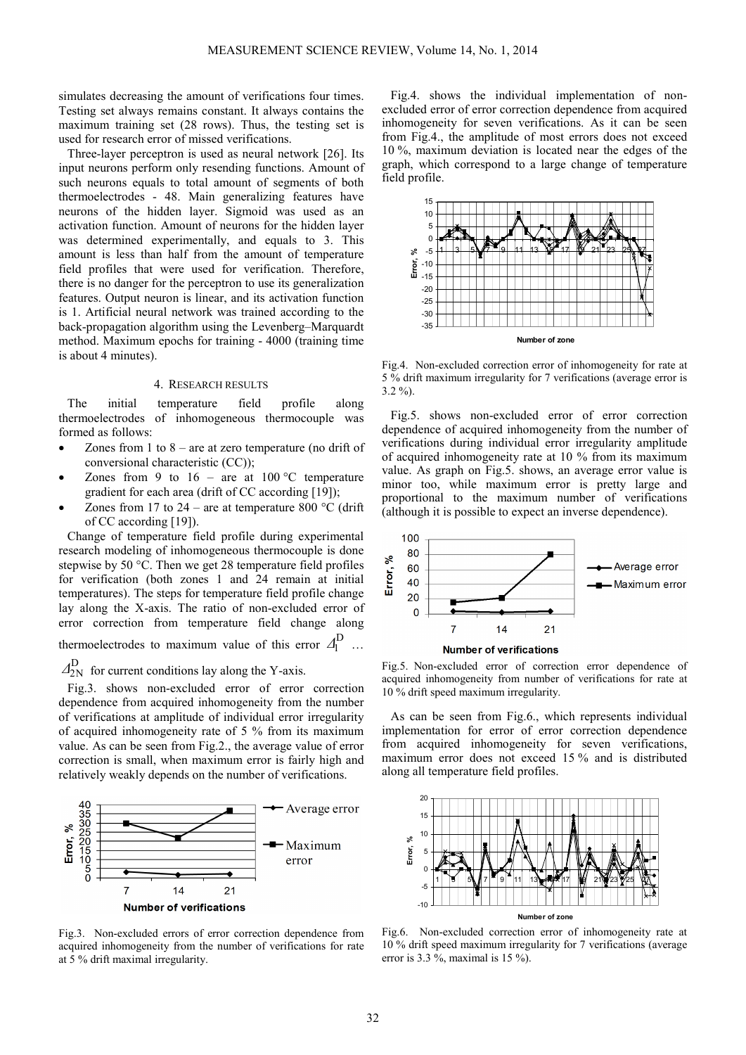simulates decreasing the amount of verifications four times. Testing set always remains constant. It always contains the maximum training set (28 rows). Thus, the testing set is used for research error of missed verifications.

Three-layer perceptron is used as neural network [26]. Its input neurons perform only resending functions. Amount of such neurons equals to total amount of segments of both thermoelectrodes - 48. Main generalizing features have neurons of the hidden layer. Sigmoid was used as an activation function. Amount of neurons for the hidden layer was determined experimentally, and equals to 3. This amount is less than half from the amount of temperature field profiles that were used for verification. Therefore, there is no danger for the perceptron to use its generalization features. Output neuron is linear, and its activation function is 1. Artificial neural network was trained according to the back-propagation algorithm using the Levenberg–Marquardt method. Maximum epochs for training - 4000 (training time is about 4 minutes).

### 4. RESEARCH RESULTS

The initial temperature field profile along thermoelectrodes of inhomogeneous thermocouple was formed as follows:

- Zones from 1 to  $8 -$  are at zero temperature (no drift of conversional characteristic (CC));
- Zones from 9 to  $16 -$  are at  $100 °C$  temperature gradient for each area (drift of CC according [19]);
- Zones from 17 to 24 are at temperature 800  $^{\circ}$ C (drift) of CC according [19]).

Change of temperature field profile during experimental research modeling of inhomogeneous thermocouple is done stepwise by 50 °С. Then we get 28 temperature field profiles for verification (both zones 1 and 24 remain at initial temperatures). The steps for temperature field profile change lay along the X-axis. The ratio of non-excluded error of error correction from temperature field change along thermoelectrodes to maximum value of this error  $\mathcal{A}_1^D$  …

 $\Delta_{2N}^D$  for current conditions lay along the Y-axis.

Fig.3. shows non-excluded error of error correction dependence from acquired inhomogeneity from the number of verifications at amplitude of individual error irregularity of acquired inhomogeneity rate of 5 % from its maximum value. As can be seen from Fig.2., the average value of error correction is small, when maximum error is fairly high and relatively weakly depends on the number of verifications.



Fig.3. Non-excluded errors of error correction dependence from acquired inhomogeneity from the number of verifications for rate at 5 % drift maximal irregularity.

Fig.4. shows the individual implementation of nonexcluded error of error correction dependence from acquired inhomogeneity for seven verifications. As it can be seen from Fig.4., the amplitude of most errors does not exceed 10 %, maximum deviation is located near the edges of the graph, which correspond to a large change of temperature field profile.



Fig.4. Non-excluded correction error of inhomogeneity for rate at 5 % drift maximum irregularity for 7 verifications (average error is 3.2 %).

Fig.5. shows non-excluded error of error correction dependence of acquired inhomogeneity from the number of verifications during individual error irregularity amplitude of acquired inhomogeneity rate at 10 % from its maximum value. As graph on Fig.5. shows, an average error value is minor too, while maximum error is pretty large and proportional to the maximum number of verifications (although it is possible to expect an inverse dependence).





Fig.5. Non-excluded error of correction error dependence of acquired inhomogeneity from number of verifications for rate at 10 % drift speed maximum irregularity.

As can be seen from Fig.6., which represents individual implementation for error of error correction dependence from acquired inhomogeneity for seven verifications, maximum error does not exceed 15 % and is distributed along all temperature field profiles.



Fig.6. Non-excluded correction error of inhomogeneity rate at 10 % drift speed maximum irregularity for 7 verifications (average error is 3.3 %, maximal is 15 %).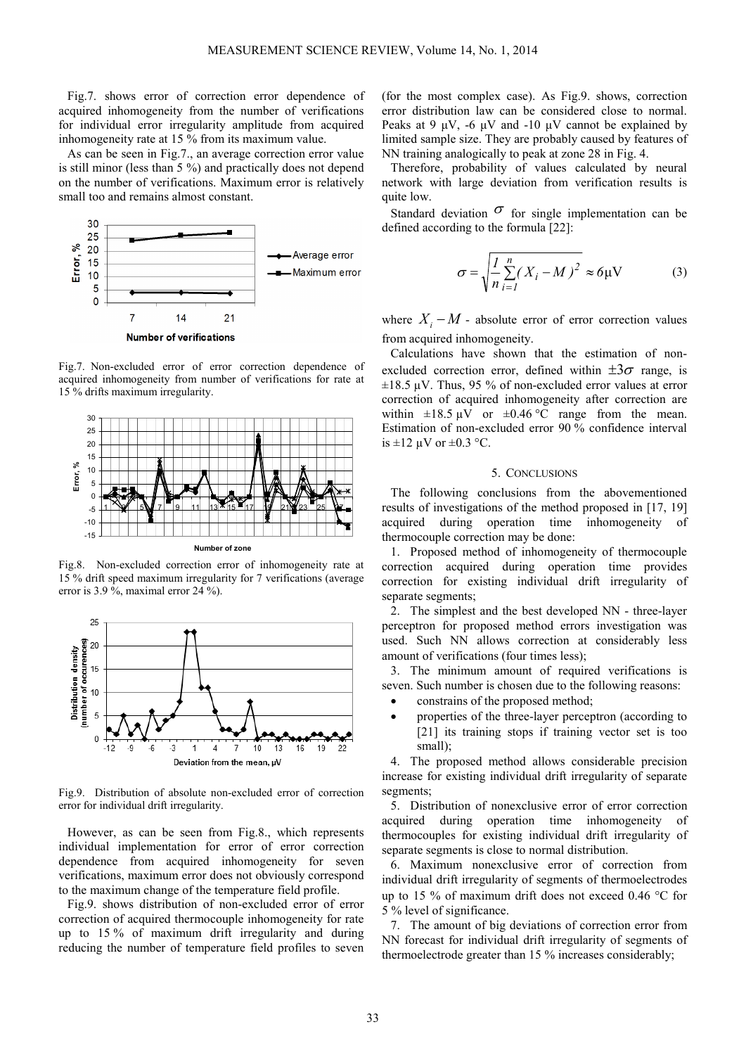Fig.7. shows error of correction error dependence of acquired inhomogeneity from the number of verifications for individual error irregularity amplitude from acquired inhomogeneity rate at 15 % from its maximum value.

As can be seen in Fig.7., an average correction error value is still minor (less than 5 %) and practically does not depend on the number of verifications. Maximum error is relatively small too and remains almost constant.



Fig.7. Non-excluded error of error correction dependence of acquired inhomogeneity from number of verifications for rate at 15 % drifts maximum irregularity.



Fig.8. Non-excluded correction error of inhomogeneity rate at 15 % drift speed maximum irregularity for 7 verifications (average error is 3.9 %, maximal error 24 %).



Fig.9. Distribution of absolute non-excluded error of correction error for individual drift irregularity.

However, as can be seen from Fig.8., which represents individual implementation for error of error correction dependence from acquired inhomogeneity for seven verifications, maximum error does not obviously correspond to the maximum change of the temperature field profile.

Fig.9. shows distribution of non-excluded error of error correction of acquired thermocouple inhomogeneity for rate up to 15 % of maximum drift irregularity and during reducing the number of temperature field profiles to seven (for the most complex case). As Fig.9. shows, correction error distribution law can be considered close to normal. Peaks at 9  $\mu$ V, -6  $\mu$ V and -10  $\mu$ V cannot be explained by limited sample size. They are probably caused by features of NN training analogically to peak at zone 28 in Fig. 4.

Therefore, probability of values calculated by neural network with large deviation from verification results is quite low.

Standard deviation  $\sigma$  for single implementation can be defined according to the formula [22]:

$$
\sigma = \sqrt{\frac{I}{n} \sum_{i=1}^{n} (X_i - M)^2} \approx 6 \mu \text{V}
$$
 (3)

where  $X_i - M$  - absolute error of error correction values from acquired inhomogeneity.

Calculations have shown that the estimation of nonexcluded correction error, defined within  $\pm 3\sigma$  range, is  $\pm 18.5$   $\mu$ V. Thus, 95 % of non-excluded error values at error correction of acquired inhomogeneity after correction are within  $\pm 18.5 \mu \text{V}$  or  $\pm 0.46 \text{°C}$  range from the mean. Estimation of non-excluded error 90 % confidence interval is  $\pm 12 \mu V$  or  $\pm 0.3 \text{ }^{\circ}C$ .

### 5. CONCLUSIONS

The following conclusions from the abovementioned results of investigations of the method proposed in [17, 19] acquired during operation time inhomogeneity of thermocouple correction may be done:

1. Proposed method of inhomogeneity of thermocouple correction acquired during operation time provides correction for existing individual drift irregularity of separate segments;

2. The simplest and the best developed NN - three-layer perceptron for proposed method errors investigation was used. Such NN allows correction at considerably less amount of verifications (four times less);

3. The minimum amount of required verifications is seven. Such number is chosen due to the following reasons:

- constrains of the proposed method;
- properties of the three-layer perceptron (according to [21] its training stops if training vector set is too small);

4. The proposed method allows considerable precision increase for existing individual drift irregularity of separate segments;

5. Distribution of nonexclusive error of error correction acquired during operation time inhomogeneity of thermocouples for existing individual drift irregularity of separate segments is close to normal distribution.

6. Maximum nonexclusive error of correction from individual drift irregularity of segments of thermoelectrodes up to 15 % of maximum drift does not exceed 0.46 °С for 5 % level of significance.

7. The amount of big deviations of correction error from NN forecast for individual drift irregularity of segments of thermoelectrode greater than 15 % increases considerably;